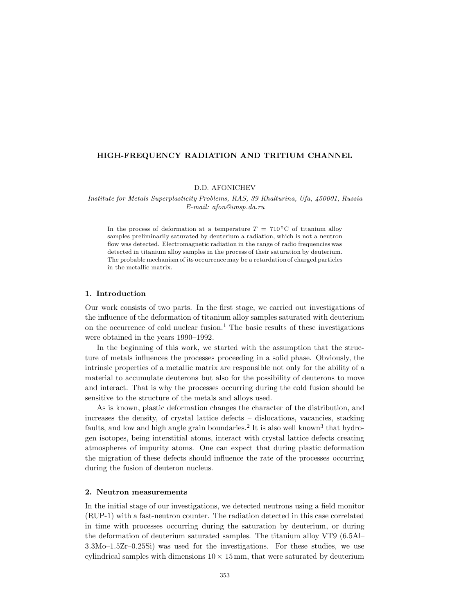## **HIGH-FREQUENCY RADIATION AND TRITIUM CHANNEL**

D.D. AFONICHEV

*Institute for Metals Superplasticity Problems, RAS, 39 Khalturina, Ufa, 450001, Russia E-mail: afon@imsp.da.ru*

In the process of deformation at a temperature  $T = 710\degree\text{C}$  of titanium alloy samples preliminarily saturated by deuterium a radiation, which is not a neutron flow was detected. Electromagnetic radiation in the range of radio frequencies was detected in titanium alloy samples in the process of their saturation by deuterium. The probable mechanism of its occurrence may be a retardation of charged particles in the metallic matrix.

# **1. Introduction**

Our work consists of two parts. In the first stage, we carried out investigations of the influence of the deformation of titanium alloy samples saturated with deuterium on the occurrence of cold nuclear fusion.<sup>1</sup> The basic results of these investigations were obtained in the years 1990–1992.

In the beginning of this work, we started with the assumption that the structure of metals influences the processes proceeding in a solid phase. Obviously, the intrinsic properties of a metallic matrix are responsible not only for the ability of a material to accumulate deuterons but also for the possibility of deuterons to move and interact. That is why the processes occurring during the cold fusion should be sensitive to the structure of the metals and alloys used.

As is known, plastic deformation changes the character of the distribution, and increases the density, of crystal lattice defects – dislocations, vacancies, stacking faults, and low and high angle grain boundaries.<sup>2</sup> It is also well known<sup>3</sup> that hydrogen isotopes, being interstitial atoms, interact with crystal lattice defects creating atmospheres of impurity atoms. One can expect that during plastic deformation the migration of these defects should influence the rate of the processes occurring during the fusion of deuteron nucleus.

## **2. Neutron measurements**

In the initial stage of our investigations, we detected neutrons using a field monitor (RUP-1) with a fast-neutron counter. The radiation detected in this case correlated in time with processes occurring during the saturation by deuterium, or during the deformation of deuterium saturated samples. The titanium alloy VT9 (6.5Al– 3.3Mo–1.5Zr–0.25Si) was used for the investigations. For these studies, we use cylindrical samples with dimensions  $10 \times 15$  mm, that were saturated by deuterium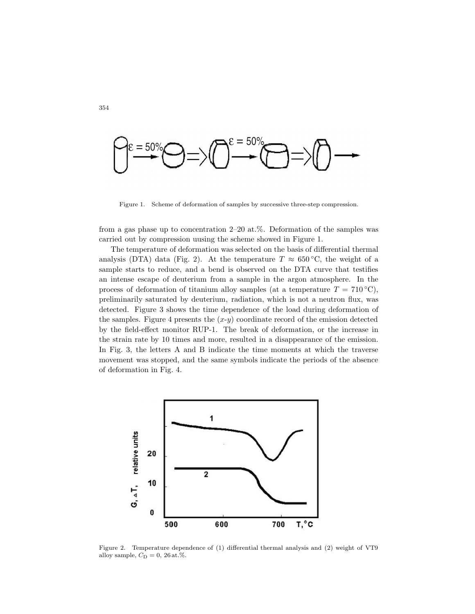

Figure 1. Scheme of deformation of samples by successive three-step compression.

from a gas phase up to concentration 2–20 at.%. Deformation of the samples was carried out by compression uusing the scheme showed in Figure 1.

The temperature of deformation was selected on the basis of differential thermal analysis (DTA) data (Fig. 2). At the temperature  $T \approx 650 \degree C$ , the weight of a sample starts to reduce, and a bend is observed on the DTA curve that testifies an intense escape of deuterium from a sample in the argon atmosphere. In the process of deformation of titanium alloy samples (at a temperature  $T = 710 °C$ ), preliminarily saturated by deuterium, radiation, which is not a neutron flux, was detected. Figure 3 shows the time dependence of the load during deformation of the samples. Figure 4 presents the  $(x-y)$  coordinate record of the emission detected by the field-effect monitor RUP-1. The break of deformation, or the increase in the strain rate by 10 times and more, resulted in a disappearance of the emission. In Fig. 3, the letters A and B indicate the time moments at which the traverse movement was stopped, and the same symbols indicate the periods of the absence of deformation in Fig. 4.



Figure 2. Temperature dependence of (1) differential thermal analysis and (2) weight of VT9 alloy sample,  $C_{\rm D}=0,\,26\,\mathrm{at.\%}.$ 

354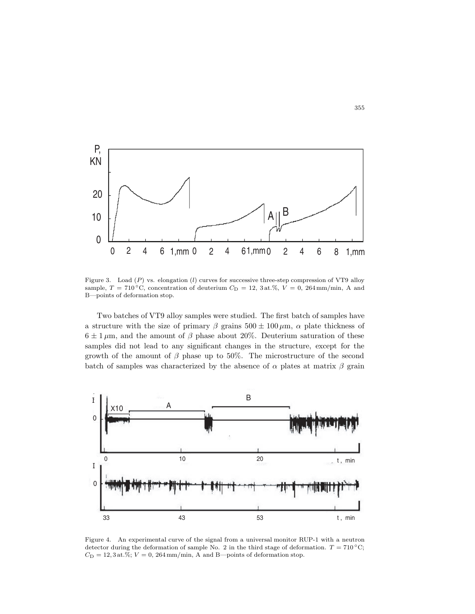

Figure 3. Load (P) vs. elongation (*l*) curves for successive three-step compression of VT9 alloy sample,  $T = 710^{\circ}\text{C}$ , concentration of deuterium  $C_{\text{D}} = 12$ , 3 at. %,  $V = 0$ , 264 mm/min, A and B—points of deformation stop.

Two batches of VT9 alloy samples were studied. The first batch of samples have a structure with the size of primary  $\beta$  grains  $500 \pm 100 \,\mu$ m,  $\alpha$  plate thickness of  $6 \pm 1 \,\mu$ m, and the amount of  $\beta$  phase about 20%. Deuterium saturation of these samples did not lead to any significant changes in the structure, except for the growth of the amount of  $\beta$  phase up to 50%. The microstructure of the second batch of samples was characterized by the absence of  $\alpha$  plates at matrix  $\beta$  grain



Figure 4. An experimental curve of the signal from a universal monitor RUP-1 with a neutron detector during the deformation of sample No. 2 in the third stage of deformation.  $T = 710^{\circ}$ C;  $C_D = 12, 3$  at.%;  $V = 0$ , 264 mm/min, A and B—points of deformation stop.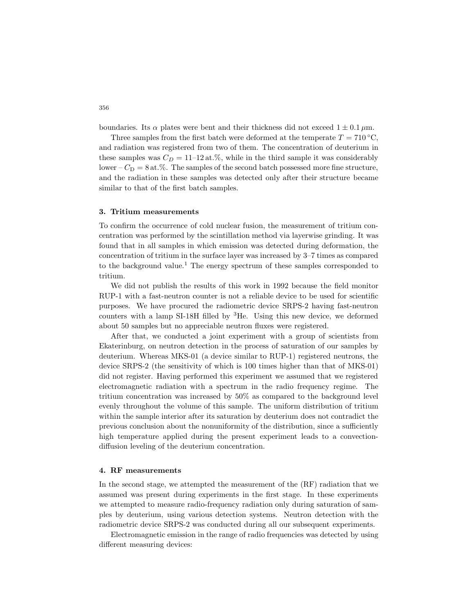boundaries. Its  $\alpha$  plates were bent and their thickness did not exceed  $1 \pm 0.1 \,\mu \mathrm{m}$ .

Three samples from the first batch were deformed at the temperate  $T = 710 °C$ , and radiation was registered from two of them. The concentration of deuterium in these samples was  $C_D = 11{\text{-}}12 \text{ at.}\%$ , while in the third sample it was considerably lower –  $C_D = 8$  at.%. The samples of the second batch possessed more fine structure, and the radiation in these samples was detected only after their structure became similar to that of the first batch samples.

#### **3. Tritium measurements**

To confirm the occurrence of cold nuclear fusion, the measurement of tritium concentration was performed by the scintillation method via layerwise grinding. It was found that in all samples in which emission was detected during deformation, the concentration of tritium in the surface layer was increased by 3–7 times as compared to the background value.<sup>1</sup> The energy spectrum of these samples corresponded to tritium.

We did not publish the results of this work in 1992 because the field monitor RUP-1 with a fast-neutron counter is not a reliable device to be used for scientific purposes. We have procured the radiometric device SRPS-2 having fast-neutron counters with a lamp SI-18H filled by  ${}^{3}$ He. Using this new device, we deformed about 50 samples but no appreciable neutron fluxes were registered.

After that, we conducted a joint experiment with a group of scientists from Ekaterinburg, on neutron detection in the process of saturation of our samples by deuterium. Whereas MKS-01 (a device similar to RUP-1) registered neutrons, the device SRPS-2 (the sensitivity of which is 100 times higher than that of MKS-01) did not register. Having performed this experiment we assumed that we registered electromagnetic radiation with a spectrum in the radio frequency regime. The tritium concentration was increased by 50% as compared to the background level evenly throughout the volume of this sample. The uniform distribution of tritium within the sample interior after its saturation by deuterium does not contradict the previous conclusion about the nonuniformity of the distribution, since a sufficiently high temperature applied during the present experiment leads to a convectiondiffusion leveling of the deuterium concentration.

#### **4. RF measurements**

In the second stage, we attempted the measurement of the (RF) radiation that we assumed was present during experiments in the first stage. In these experiments we attempted to measure radio-frequency radiation only during saturation of samples by deuterium, using various detection systems. Neutron detection with the radiometric device SRPS-2 was conducted during all our subsequent experiments.

Electromagnetic emission in the range of radio frequencies was detected by using different measuring devices:

356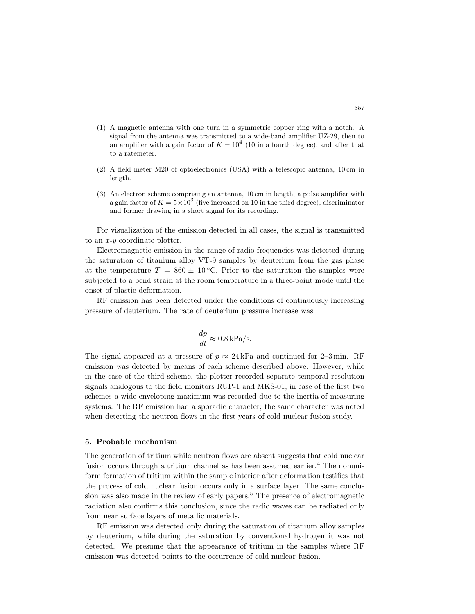- (1) A magnetic antenna with one turn in a symmetric copper ring with a notch. A signal from the antenna was transmitted to a wide-band amplifier UZ-29, then to an amplifier with a gain factor of  $K = 10^4$  (10 in a fourth degree), and after that to a ratemeter.
- (2) A field meter M20 of optoelectronics (USA) with a telescopic antenna, 10 cm in length.
- (3) An electron scheme comprising an antenna, 10 cm in length, a pulse amplifier with a gain factor of  $K = 5 \times 10^3$  (five increased on 10 in the third degree), discriminator and former drawing in a short signal for its recording.

For visualization of the emission detected in all cases, the signal is transmitted to an  $x-y$  coordinate plotter.

Electromagnetic emission in the range of radio frequencies was detected during the saturation of titanium alloy VT-9 samples by deuterium from the gas phase at the temperature  $T = 860 \pm 10^{\circ}$ C. Prior to the saturation the samples were subjected to a bend strain at the room temperature in a three-point mode until the onset of plastic deformation.

RF emission has been detected under the conditions of continuously increasing pressure of deuterium. The rate of deuterium pressure increase was

$$
\frac{dp}{dt} \approx 0.8 \,\mathrm{kPa/s}.
$$

The signal appeared at a pressure of  $p \approx 24 \text{ kPa}$  and continued for 2–3 min. RF emission was detected by means of each scheme described above. However, while in the case of the third scheme, the plotter recorded separate temporal resolution signals analogous to the field monitors RUP-1 and MKS-01; in case of the first two schemes a wide enveloping maximum was recorded due to the inertia of measuring systems. The RF emission had a sporadic character; the same character was noted when detecting the neutron flows in the first years of cold nuclear fusion study.

#### **5. Probable mechanism**

The generation of tritium while neutron flows are absent suggests that cold nuclear fusion occurs through a tritium channel as has been assumed earlier.<sup>4</sup> The nonuniform formation of tritium within the sample interior after deformation testifies that the process of cold nuclear fusion occurs only in a surface layer. The same conclusion was also made in the review of early papers.<sup>5</sup> The presence of electromagnetic radiation also confirms this conclusion, since the radio waves can be radiated only from near surface layers of metallic materials.

RF emission was detected only during the saturation of titanium alloy samples by deuterium, while during the saturation by conventional hydrogen it was not detected. We presume that the appearance of tritium in the samples where RF emission was detected points to the occurrence of cold nuclear fusion.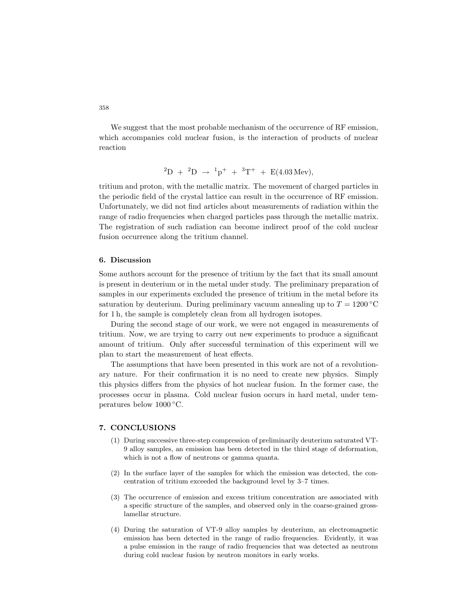We suggest that the most probable mechanism of the occurrence of RF emission, which accompanies cold nuclear fusion, is the interaction of products of nuclear reaction

$$
{}^{2}D + {}^{2}D \rightarrow {}^{1}p^{+} + {}^{3}T^{+} + E(4.03 \text{ Mev}),
$$

tritium and proton, with the metallic matrix. The movement of charged particles in the periodic field of the crystal lattice can result in the occurrence of RF emission. Unfortunately, we did not find articles about measurements of radiation within the range of radio frequencies when charged particles pass through the metallic matrix. The registration of such radiation can become indirect proof of the cold nuclear fusion occurrence along the tritium channel.

## **6. Discussion**

Some authors account for the presence of tritium by the fact that its small amount is present in deuterium or in the metal under study. The preliminary preparation of samples in our experiments excluded the presence of tritium in the metal before its saturation by deuterium. During preliminary vacuum annealing up to  $T = 1200\text{ °C}$ for 1 h, the sample is completely clean from all hydrogen isotopes.

During the second stage of our work, we were not engaged in measurements of tritium. Now, we are trying to carry out new experiments to produce a significant amount of tritium. Only after successful termination of this experiment will we plan to start the measurement of heat effects.

The assumptions that have been presented in this work are not of a revolutionary nature. For their confirmation it is no need to create new physics. Simply this physics differs from the physics of hot nuclear fusion. In the former case, the processes occur in plasma. Cold nuclear fusion occurs in hard metal, under temperatures below 1000 ◦C.

## **7. CONCLUSIONS**

- (1) During successive three-step compression of preliminarily deuterium saturated VT-9 alloy samples, an emission has been detected in the third stage of deformation, which is not a flow of neutrons or gamma quanta.
- (2) In the surface layer of the samples for which the emission was detected, the concentration of tritium exceeded the background level by 3–7 times.
- (3) The occurrence of emission and excess tritium concentration are associated with a specific structure of the samples, and observed only in the coarse-grained grosslamellar structure.
- (4) During the saturation of VT-9 alloy samples by deuterium, an electromagnetic emission has been detected in the range of radio frequencies. Evidently, it was a pulse emission in the range of radio frequencies that was detected as neutrons during cold nuclear fusion by neutron monitors in early works.

358